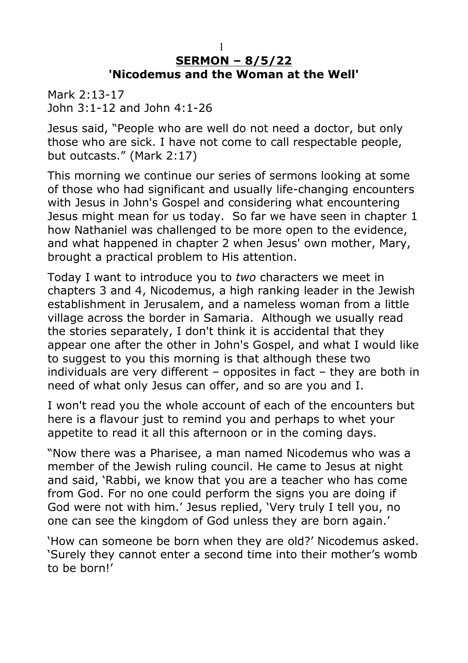## **SERMON – 8/5/22 'Nicodemus and the Woman at the Well'**

Mark 2:13-17 John 3:1-12 and John 4:1-26

Jesus said, "People who are well do not need a doctor, but only those who are sick. I have not come to call respectable people, but outcasts." (Mark 2:17)

This morning we continue our series of sermons looking at some of those who had significant and usually life-changing encounters with Jesus in John's Gospel and considering what encountering Jesus might mean for us today. So far we have seen in chapter 1 how Nathaniel was challenged to be more open to the evidence, and what happened in chapter 2 when Jesus' own mother, Mary, brought a practical problem to His attention.

Today I want to introduce you to *two* characters we meet in chapters 3 and 4, Nicodemus, a high ranking leader in the Jewish establishment in Jerusalem, and a nameless woman from a little village across the border in Samaria. Although we usually read the stories separately, I don't think it is accidental that they appear one after the other in John's Gospel, and what I would like to suggest to you this morning is that although these two individuals are very different – opposites in fact – they are both in need of what only Jesus can offer, and so are you and I.

I won't read you the whole account of each of the encounters but here is a flavour just to remind you and perhaps to whet your appetite to read it all this afternoon or in the coming days.

"Now there was a Pharisee, a man named Nicodemus who was a member of the Jewish ruling council. He came to Jesus at night and said, 'Rabbi, we know that you are a teacher who has come from God. For no one could perform the signs you are doing if God were not with him.' Jesus replied, 'Very truly I tell you, no one can see the kingdom of God unless they are born again.'

'How can someone be born when they are old?' Nicodemus asked. 'Surely they cannot enter a second time into their mother's womb to be born!'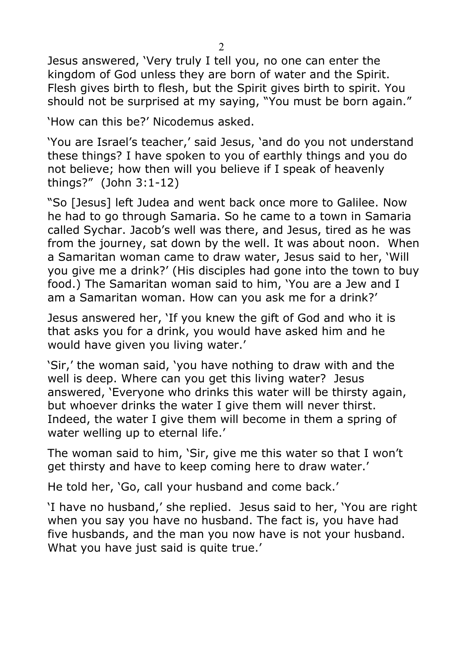Jesus answered, 'Very truly I tell you, no one can enter the kingdom of God unless they are born of water and the Spirit. Flesh gives birth to flesh, but the Spirit gives birth to spirit. You should not be surprised at my saying, "You must be born again."

'How can this be?' Nicodemus asked.

'You are Israel's teacher,' said Jesus, 'and do you not understand these things? I have spoken to you of earthly things and you do not believe; how then will you believe if I speak of heavenly things?" (John 3:1-12)

"So [Jesus] left Judea and went back once more to Galilee. Now he had to go through Samaria. So he came to a town in Samaria called Sychar. Jacob's well was there, and Jesus, tired as he was from the journey, sat down by the well. It was about noon. When a Samaritan woman came to draw water, Jesus said to her, 'Will you give me a drink?' (His disciples had gone into the town to buy food.) The Samaritan woman said to him, 'You are a Jew and I am a Samaritan woman. How can you ask me for a drink?'

Jesus answered her, 'If you knew the gift of God and who it is that asks you for a drink, you would have asked him and he would have given you living water.'

'Sir,' the woman said, 'you have nothing to draw with and the well is deep. Where can you get this living water? Jesus answered, 'Everyone who drinks this water will be thirsty again, but whoever drinks the water I give them will never thirst. Indeed, the water I give them will become in them a spring of water welling up to eternal life.'

The woman said to him, 'Sir, give me this water so that I won't get thirsty and have to keep coming here to draw water.'

He told her, 'Go, call your husband and come back.'

'I have no husband,' she replied. Jesus said to her, 'You are right when you say you have no husband. The fact is, you have had five husbands, and the man you now have is not your husband. What you have just said is quite true.'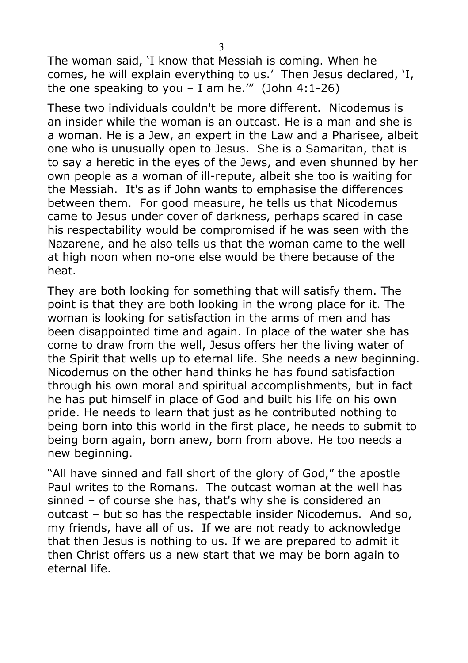The woman said, 'I know that Messiah is coming. When he comes, he will explain everything to us.' Then Jesus declared, 'I, the one speaking to you – I am he."" (John  $4:1-26$ )

These two individuals couldn't be more different. Nicodemus is an insider while the woman is an outcast. He is a man and she is a woman. He is a Jew, an expert in the Law and a Pharisee, albeit one who is unusually open to Jesus. She is a Samaritan, that is to say a heretic in the eyes of the Jews, and even shunned by her own people as a woman of ill-repute, albeit she too is waiting for the Messiah. It's as if John wants to emphasise the differences between them. For good measure, he tells us that Nicodemus came to Jesus under cover of darkness, perhaps scared in case his respectability would be compromised if he was seen with the Nazarene, and he also tells us that the woman came to the well at high noon when no-one else would be there because of the heat.

They are both looking for something that will satisfy them. The point is that they are both looking in the wrong place for it. The woman is looking for satisfaction in the arms of men and has been disappointed time and again. In place of the water she has come to draw from the well, Jesus offers her the living water of the Spirit that wells up to eternal life. She needs a new beginning. Nicodemus on the other hand thinks he has found satisfaction through his own moral and spiritual accomplishments, but in fact he has put himself in place of God and built his life on his own pride. He needs to learn that just as he contributed nothing to being born into this world in the first place, he needs to submit to being born again, born anew, born from above. He too needs a new beginning.

"All have sinned and fall short of the glory of God," the apostle Paul writes to the Romans. The outcast woman at the well has sinned – of course she has, that's why she is considered an outcast – but so has the respectable insider Nicodemus. And so, my friends, have all of us. If we are not ready to acknowledge that then Jesus is nothing to us. If we are prepared to admit it then Christ offers us a new start that we may be born again to eternal life.